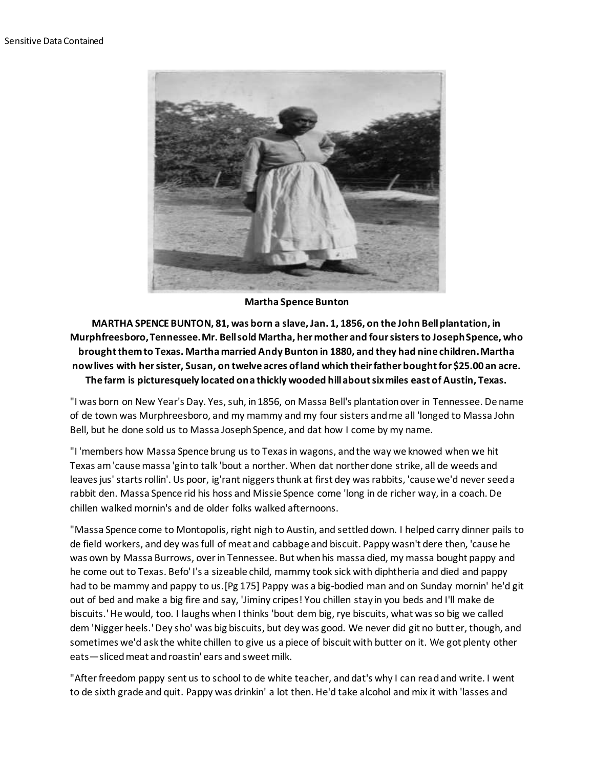

**Martha Spence Bunton**

**MARTHA SPENCE BUNTON, 81, was born a slave, Jan. 1, 1856, on the John Bell plantation, in Murphfreesboro, Tennessee. Mr. Bell sold Martha, her mother and four sisters to Joseph Spence, who brought them to Texas. Martha married Andy Bunton in 1880, and they had nine children. Martha now lives with her sister, Susan, on twelve acres of land which their father bought for \$25.00 an acre. The farm is picturesquely located on a thickly wooded hill about six miles east of Austin, Texas.**

"I was born on New Year's Day. Yes, suh, in 1856, on Massa Bell's plantation over in Tennessee. De name of de town was Murphreesboro, and my mammy and my four sisters and me all 'longed to Massa John Bell, but he done sold us to Massa Joseph Spence, and dat how I come by my name.

"I 'members how Massa Spence brung us to Texas in wagons, and the way we knowed when we hit Texas am 'cause massa 'gin to talk 'bout a norther. When dat norther done strike, all de weeds and leaves jus' starts rollin'. Us poor, ig'rant niggers thunk at first dey was rabbits, 'cause we'd never seed a rabbit den. Massa Spence rid his hoss and Missie Spence come 'long in de richer way, in a coach. De chillen walked mornin's and de older folks walked afternoons.

"Massa Spence come to Montopolis, right nigh to Austin, and settled down. I helped carry dinner pails to de field workers, and dey was full of meat and cabbage and biscuit. Pappy wasn't dere then, 'cause he was own by Massa Burrows, over in Tennessee. But when his massa died, my massa bought pappy and he come out to Texas. Befo' I's a sizeable child, mammy took sick with diphtheria and died and pappy had to be mammy and pappy to us.[Pg 175] Pappy was a big-bodied man and on Sunday mornin' he'd git out of bed and make a big fire and say, 'Jiminy cripes! You chillen stay in you beds and I'll make de biscuits.' He would, too. I laughs when I thinks 'bout dem big, rye biscuits, what was so big we called dem 'Nigger heels.' Dey sho' was big biscuits, but dey was good. We never did git no butter, though, and sometimes we'd ask the white chillen to give us a piece of biscuit with butter on it. We got plenty other eats—sliced meat and roastin' ears and sweet milk.

"After freedom pappy sent us to school to de white teacher, and dat's why I can read and write. I went to de sixth grade and quit. Pappy was drinkin' a lot then. He'd take alcohol and mix it with 'lasses and